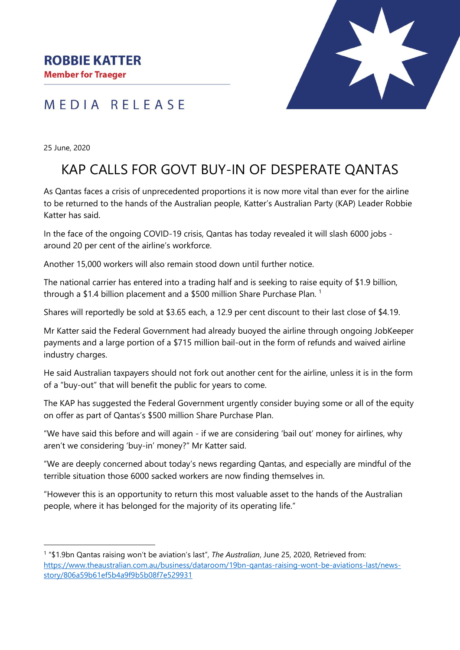**Member for Traeger** 

## MEDIA RELEASE

25 June, 2020

 $\overline{a}$ 

## KAP CALLS FOR GOVT BUY-IN OF DESPERATE QANTAS

As Qantas faces a crisis of unprecedented proportions it is now more vital than ever for the airline to be returned to the hands of the Australian people, Katter's Australian Party (KAP) Leader Robbie Katter has said.

In the face of the ongoing COVID-19 crisis, Qantas has today revealed it will slash 6000 jobs around 20 per cent of the airline's workforce.

Another 15,000 workers will also remain stood down until further notice.

The national carrier has entered into a trading half and is seeking to raise equity of \$1.9 billion, through a \$1.4 billion placement and a \$500 million Share Purchase Plan.<sup>1</sup>

Shares will reportedly be sold at \$3.65 each, a 12.9 per cent discount to their last close of \$4.19.

Mr Katter said the Federal Government had already buoyed the airline through ongoing JobKeeper payments and a large portion of a \$715 million bail-out in the form of refunds and waived airline industry charges.

He said Australian taxpayers should not fork out another cent for the airline, unless it is in the form of a "buy-out" that will benefit the public for years to come.

The KAP has suggested the Federal Government urgently consider buying some or all of the equity on offer as part of Qantas's \$500 million Share Purchase Plan.

"We have said this before and will again - if we are considering 'bail out' money for airlines, why aren't we considering 'buy-in' money?" Mr Katter said.

"We are deeply concerned about today's news regarding Qantas, and especially are mindful of the terrible situation those 6000 sacked workers are now finding themselves in.

"However this is an opportunity to return this most valuable asset to the hands of the Australian people, where it has belonged for the majority of its operating life."

<sup>&</sup>lt;sup>1</sup> "\$1.9bn Qantas raising won't be aviation's last", *The Australian*, June 25, 2020, Retrieved from: [https://www.theaustralian.com.au/business/dataroom/19bn-qantas-raising-wont-be-aviations-last/news](https://www.theaustralian.com.au/business/dataroom/19bn-qantas-raising-wont-be-aviations-last/news-story/806a59b61ef5b4a9f9b5b08f7e529931)[story/806a59b61ef5b4a9f9b5b08f7e529931](https://www.theaustralian.com.au/business/dataroom/19bn-qantas-raising-wont-be-aviations-last/news-story/806a59b61ef5b4a9f9b5b08f7e529931)